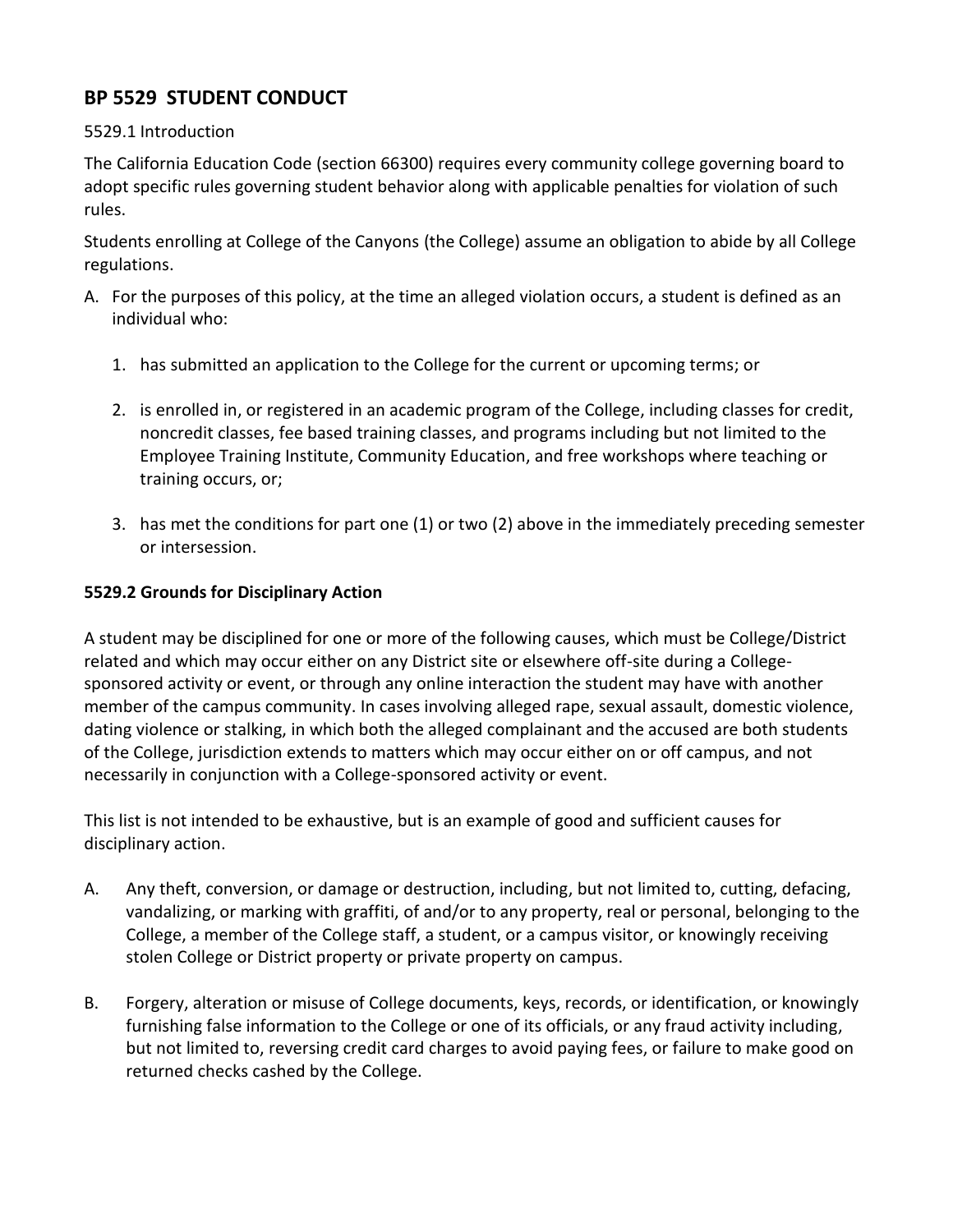## **BP 5529 STUDENT CONDUCT**

## 5529.1 Introduction

The California Education Code (section 66300) requires every community college governing board to adopt specific rules governing student behavior along with applicable penalties for violation of such rules.

Students enrolling at College of the Canyons (the College) assume an obligation to abide by all College regulations.

- A. For the purposes of this policy, at the time an alleged violation occurs, a student is defined as an individual who:
	- 1. has submitted an application to the College for the current or upcoming terms; or
	- 2. is enrolled in, or registered in an academic program of the College, including classes for credit, noncredit classes, fee based training classes, and programs including but not limited to the Employee Training Institute, Community Education, and free workshops where teaching or training occurs, or;
	- 3. has met the conditions for part one (1) or two (2) above in the immediately preceding semester or intersession.

## **5529.2 Grounds for Disciplinary Action**

A student may be disciplined for one or more of the following causes, which must be College/District related and which may occur either on any District site or elsewhere off-site during a Collegesponsored activity or event, or through any online interaction the student may have with another member of the campus community. In cases involving alleged rape, sexual assault, domestic violence, dating violence or stalking, in which both the alleged complainant and the accused are both students of the College, jurisdiction extends to matters which may occur either on or off campus, and not necessarily in conjunction with a College-sponsored activity or event.

This list is not intended to be exhaustive, but is an example of good and sufficient causes for disciplinary action.

- A. Any theft, conversion, or damage or destruction, including, but not limited to, cutting, defacing, vandalizing, or marking with graffiti, of and/or to any property, real or personal, belonging to the College, a member of the College staff, a student, or a campus visitor, or knowingly receiving stolen College or District property or private property on campus.
- B. Forgery, alteration or misuse of College documents, keys, records, or identification, or knowingly furnishing false information to the College or one of its officials, or any fraud activity including, but not limited to, reversing credit card charges to avoid paying fees, or failure to make good on returned checks cashed by the College.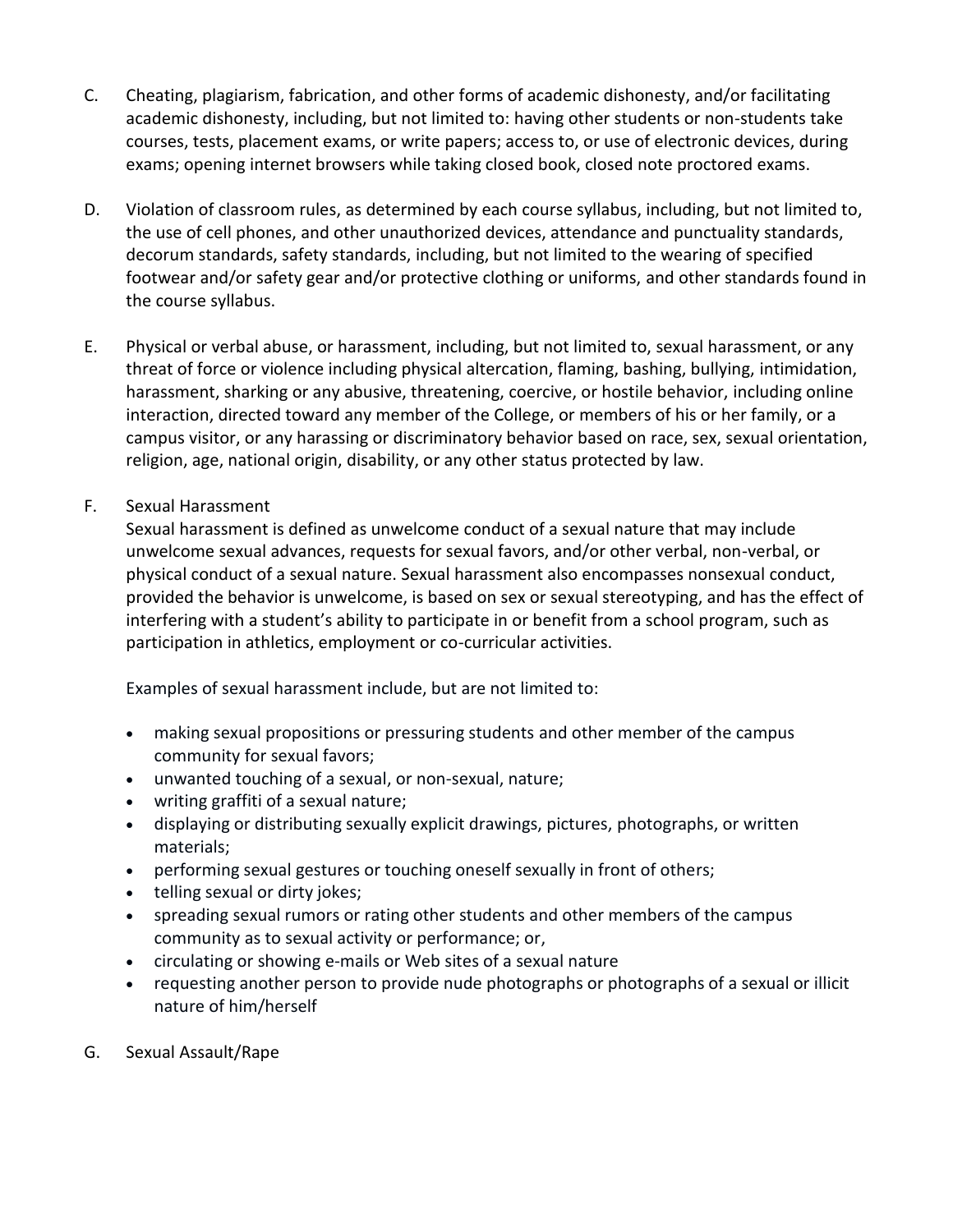- C. Cheating, plagiarism, fabrication, and other forms of academic dishonesty, and/or facilitating academic dishonesty, including, but not limited to: having other students or non-students take courses, tests, placement exams, or write papers; access to, or use of electronic devices, during exams; opening internet browsers while taking closed book, closed note proctored exams.
- D. Violation of classroom rules, as determined by each course syllabus, including, but not limited to, the use of cell phones, and other unauthorized devices, attendance and punctuality standards, decorum standards, safety standards, including, but not limited to the wearing of specified footwear and/or safety gear and/or protective clothing or uniforms, and other standards found in the course syllabus.
- E. Physical or verbal abuse, or harassment, including, but not limited to, sexual harassment, or any threat of force or violence including physical altercation, flaming, bashing, bullying, intimidation, harassment, sharking or any abusive, threatening, coercive, or hostile behavior, including online interaction, directed toward any member of the College, or members of his or her family, or a campus visitor, or any harassing or discriminatory behavior based on race, sex, sexual orientation, religion, age, national origin, disability, or any other status protected by law.
- F. Sexual Harassment

Sexual harassment is defined as unwelcome conduct of a sexual nature that may include unwelcome sexual advances, requests for sexual favors, and/or other verbal, non-verbal, or physical conduct of a sexual nature. Sexual harassment also encompasses nonsexual conduct, provided the behavior is unwelcome, is based on sex or sexual stereotyping, and has the effect of interfering with a student's ability to participate in or benefit from a school program, such as participation in athletics, employment or co-curricular activities.

Examples of sexual harassment include, but are not limited to:

- making sexual propositions or pressuring students and other member of the campus community for sexual favors;
- unwanted touching of a sexual, or non-sexual, nature;
- writing graffiti of a sexual nature;
- displaying or distributing sexually explicit drawings, pictures, photographs, or written materials;
- performing sexual gestures or touching oneself sexually in front of others;
- telling sexual or dirty jokes;
- spreading sexual rumors or rating other students and other members of the campus community as to sexual activity or performance; or,
- circulating or showing e-mails or Web sites of a sexual nature
- requesting another person to provide nude photographs or photographs of a sexual or illicit nature of him/herself
- G. Sexual Assault/Rape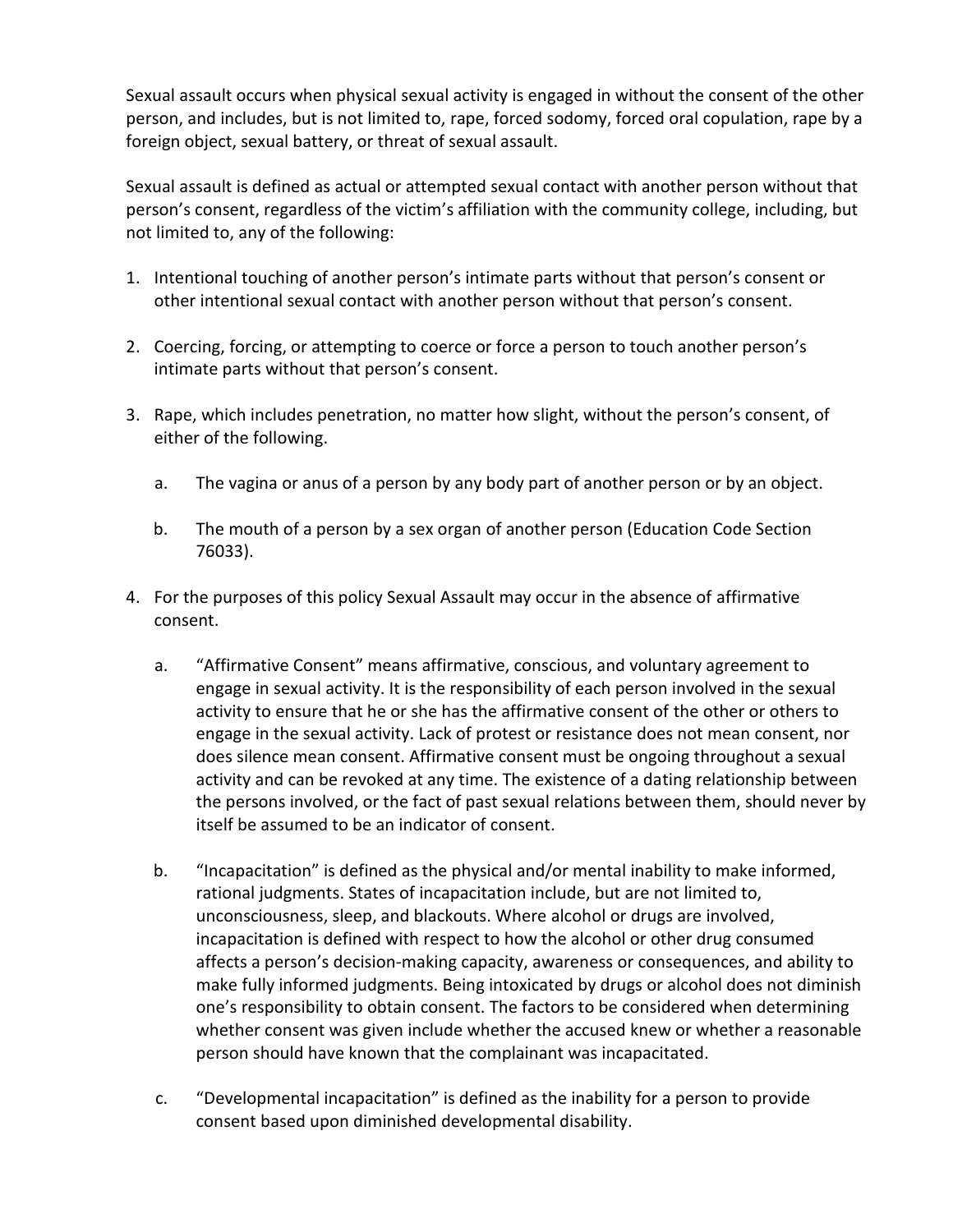Sexual assault occurs when physical sexual activity is engaged in without the consent of the other person, and includes, but is not limited to, rape, forced sodomy, forced oral copulation, rape by a foreign object, sexual battery, or threat of sexual assault.

Sexual assault is defined as actual or attempted sexual contact with another person without that person's consent, regardless of the victim's affiliation with the community college, including, but not limited to, any of the following:

- 1. Intentional touching of another person's intimate parts without that person's consent or other intentional sexual contact with another person without that person's consent.
- 2. Coercing, forcing, or attempting to coerce or force a person to touch another person's intimate parts without that person's consent.
- 3. Rape, which includes penetration, no matter how slight, without the person's consent, of either of the following.
	- a. The vagina or anus of a person by any body part of another person or by an object.
	- b. The mouth of a person by a sex organ of another person (Education Code Section 76033).
- 4. For the purposes of this policy Sexual Assault may occur in the absence of affirmative consent.
	- a. "Affirmative Consent" means affirmative, conscious, and voluntary agreement to engage in sexual activity. It is the responsibility of each person involved in the sexual activity to ensure that he or she has the affirmative consent of the other or others to engage in the sexual activity. Lack of protest or resistance does not mean consent, nor does silence mean consent. Affirmative consent must be ongoing throughout a sexual activity and can be revoked at any time. The existence of a dating relationship between the persons involved, or the fact of past sexual relations between them, should never by itself be assumed to be an indicator of consent.
	- b. "Incapacitation" is defined as the physical and/or mental inability to make informed, rational judgments. States of incapacitation include, but are not limited to, unconsciousness, sleep, and blackouts. Where alcohol or drugs are involved, incapacitation is defined with respect to how the alcohol or other drug consumed affects a person's decision-making capacity, awareness or consequences, and ability to make fully informed judgments. Being intoxicated by drugs or alcohol does not diminish one's responsibility to obtain consent. The factors to be considered when determining whether consent was given include whether the accused knew or whether a reasonable person should have known that the complainant was incapacitated.
	- c. "Developmental incapacitation" is defined as the inability for a person to provide consent based upon diminished developmental disability.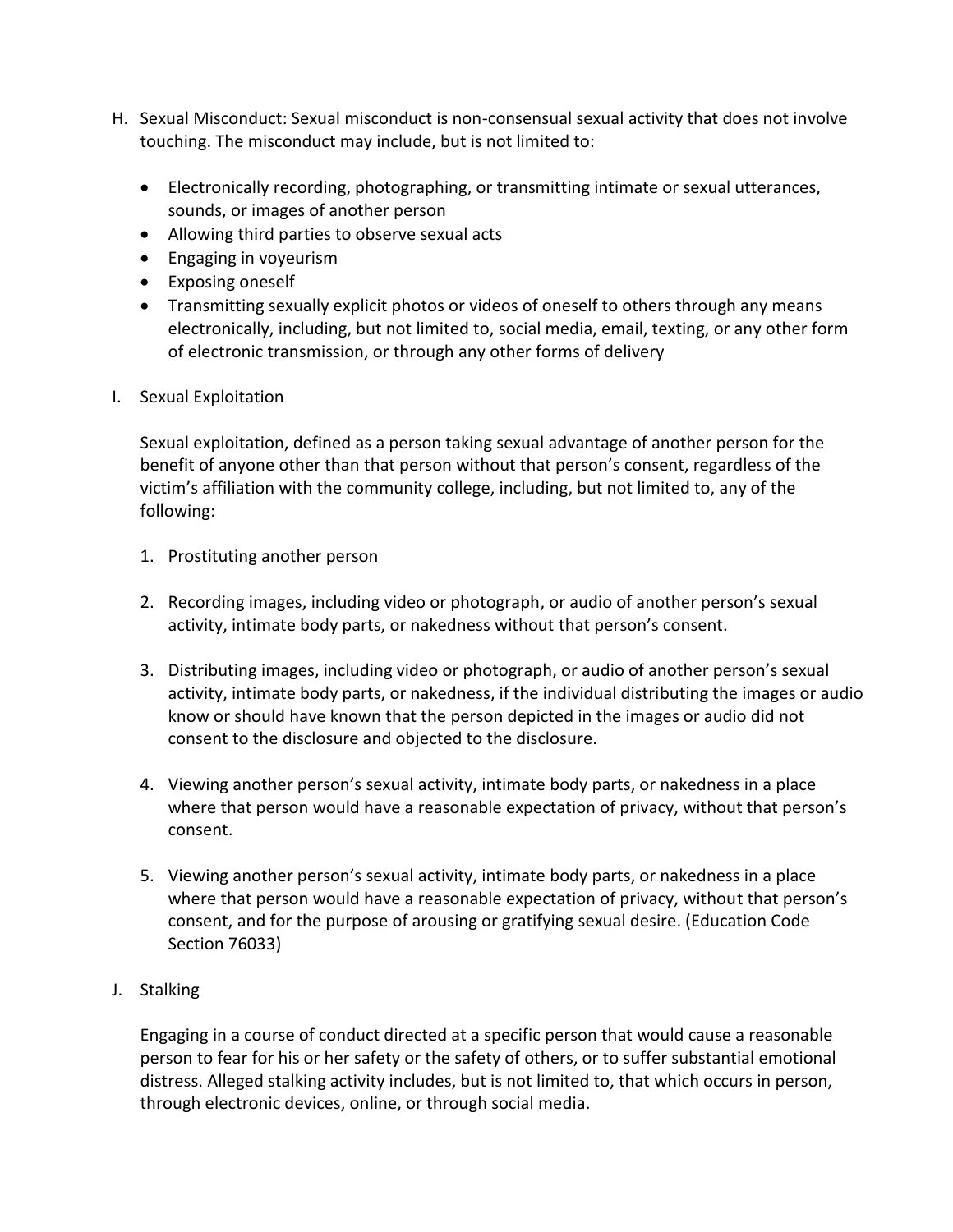- H. Sexual Misconduct: Sexual misconduct is non-consensual sexual activity that does not involve touching. The misconduct may include, but is not limited to:
	- Electronically recording, photographing, or transmitting intimate or sexual utterances, sounds, or images of another person
	- Allowing third parties to observe sexual acts
	- Engaging in voyeurism
	- Exposing oneself
	- Transmitting sexually explicit photos or videos of oneself to others through any means electronically, including, but not limited to, social media, email, texting, or any other form of electronic transmission, or through any other forms of delivery
- I. Sexual Exploitation

Sexual exploitation, defined as a person taking sexual advantage of another person for the benefit of anyone other than that person without that person's consent, regardless of the victim's affiliation with the community college, including, but not limited to, any of the following:

- 1. Prostituting another person
- 2. Recording images, including video or photograph, or audio of another person's sexual activity, intimate body parts, or nakedness without that person's consent.
- 3. Distributing images, including video or photograph, or audio of another person's sexual activity, intimate body parts, or nakedness, if the individual distributing the images or audio know or should have known that the person depicted in the images or audio did not consent to the disclosure and objected to the disclosure.
- 4. Viewing another person's sexual activity, intimate body parts, or nakedness in a place where that person would have a reasonable expectation of privacy, without that person's consent.
- 5. Viewing another person's sexual activity, intimate body parts, or nakedness in a place where that person would have a reasonable expectation of privacy, without that person's consent, and for the purpose of arousing or gratifying sexual desire. (Education Code Section 76033)
- J. Stalking

Engaging in a course of conduct directed at a specific person that would cause a reasonable person to fear for his or her safety or the safety of others, or to suffer substantial emotional distress. Alleged stalking activity includes, but is not limited to, that which occurs in person, through electronic devices, online, or through social media.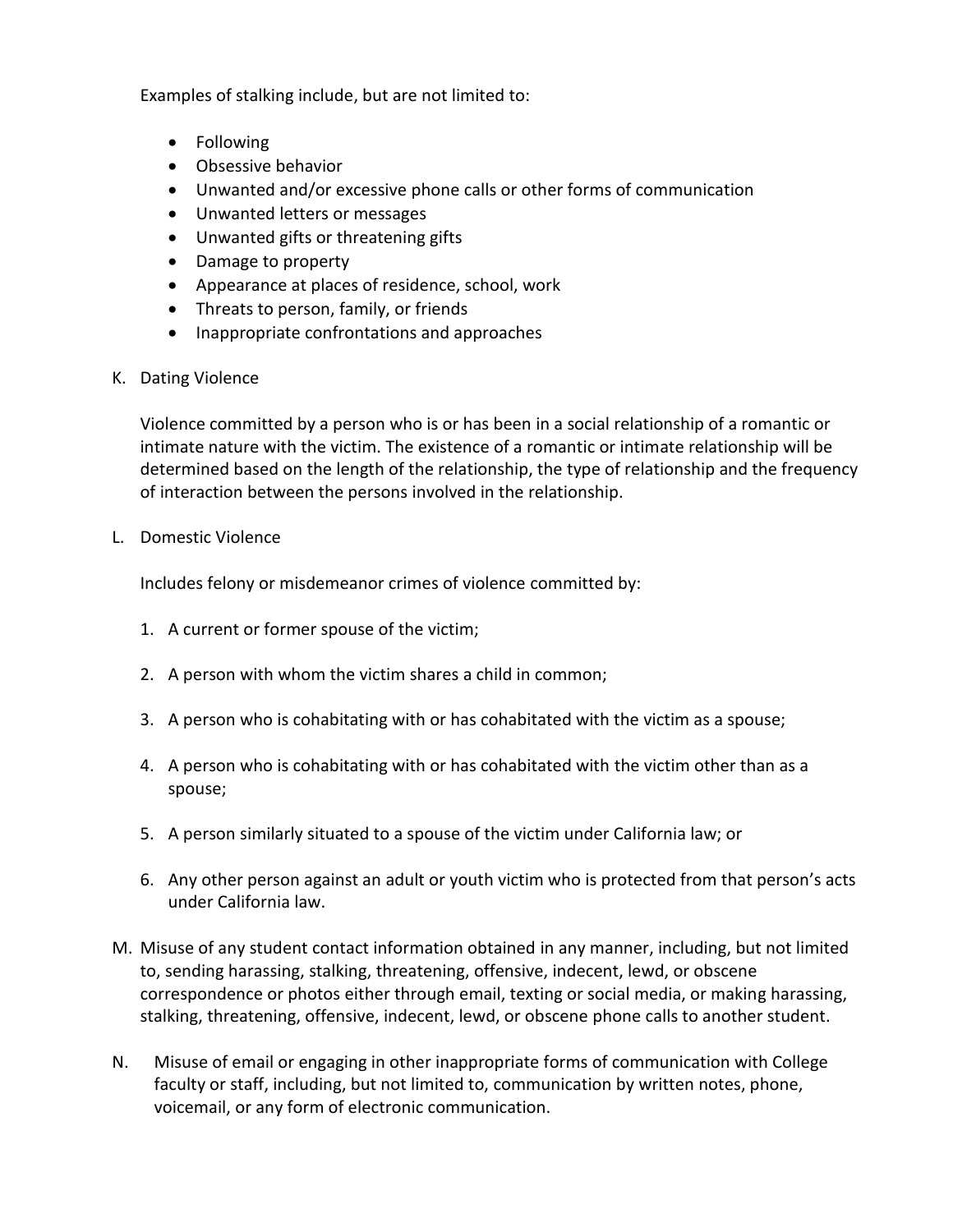Examples of stalking include, but are not limited to:

- Following
- Obsessive behavior
- Unwanted and/or excessive phone calls or other forms of communication
- Unwanted letters or messages
- Unwanted gifts or threatening gifts
- Damage to property
- Appearance at places of residence, school, work
- Threats to person, family, or friends
- Inappropriate confrontations and approaches
- K. Dating Violence

Violence committed by a person who is or has been in a social relationship of a romantic or intimate nature with the victim. The existence of a romantic or intimate relationship will be determined based on the length of the relationship, the type of relationship and the frequency of interaction between the persons involved in the relationship.

L. Domestic Violence

Includes felony or misdemeanor crimes of violence committed by:

- 1. A current or former spouse of the victim;
- 2. A person with whom the victim shares a child in common;
- 3. A person who is cohabitating with or has cohabitated with the victim as a spouse;
- 4. A person who is cohabitating with or has cohabitated with the victim other than as a spouse;
- 5. A person similarly situated to a spouse of the victim under California law; or
- 6. Any other person against an adult or youth victim who is protected from that person's acts under California law.
- M. Misuse of any student contact information obtained in any manner, including, but not limited to, sending harassing, stalking, threatening, offensive, indecent, lewd, or obscene correspondence or photos either through email, texting or social media, or making harassing, stalking, threatening, offensive, indecent, lewd, or obscene phone calls to another student.
- N. Misuse of email or engaging in other inappropriate forms of communication with College faculty or staff, including, but not limited to, communication by written notes, phone, voicemail, or any form of electronic communication.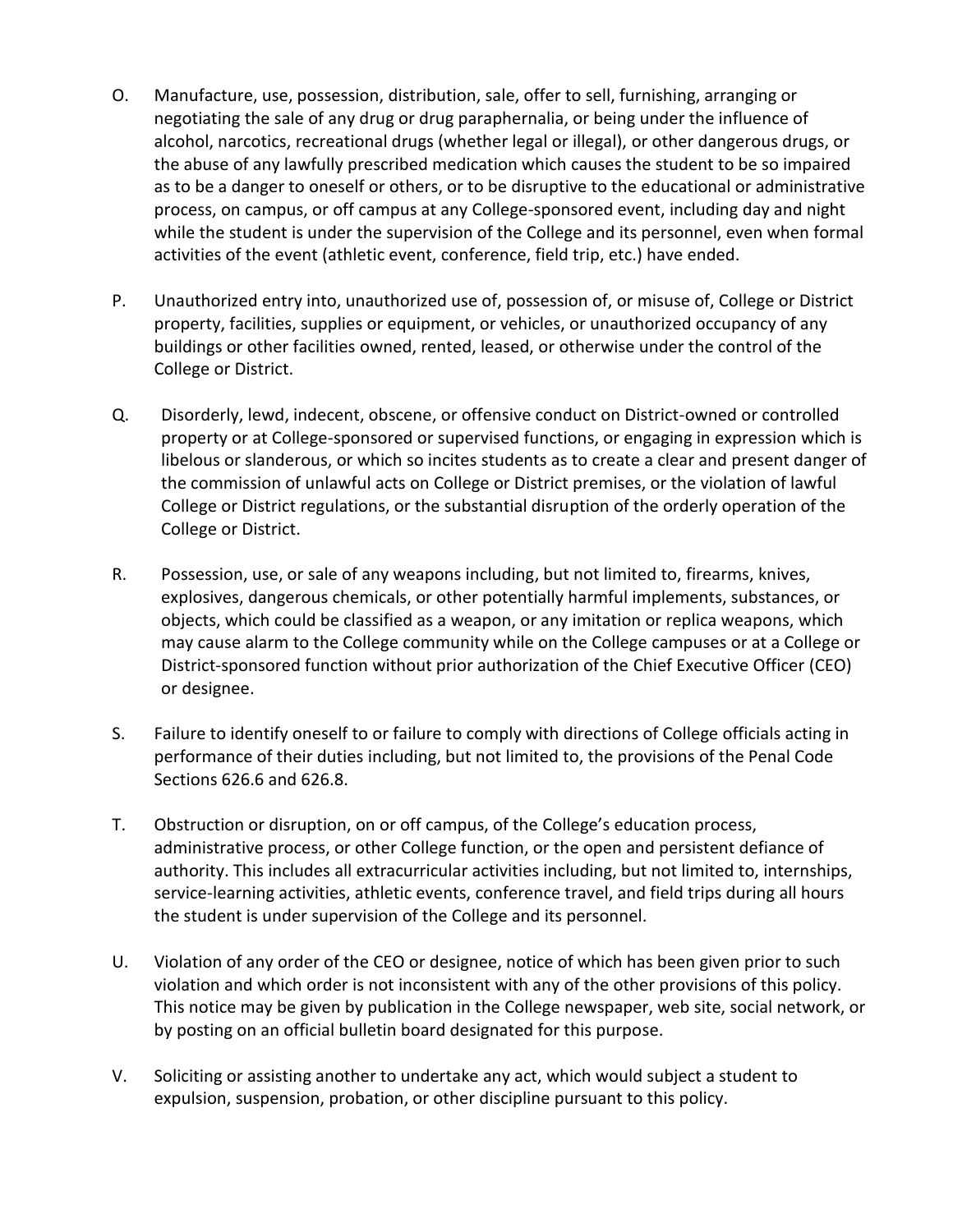- O. Manufacture, use, possession, distribution, sale, offer to sell, furnishing, arranging or negotiating the sale of any drug or drug paraphernalia, or being under the influence of alcohol, narcotics, recreational drugs (whether legal or illegal), or other dangerous drugs, or the abuse of any lawfully prescribed medication which causes the student to be so impaired as to be a danger to oneself or others, or to be disruptive to the educational or administrative process, on campus, or off campus at any College-sponsored event, including day and night while the student is under the supervision of the College and its personnel, even when formal activities of the event (athletic event, conference, field trip, etc.) have ended.
- P. Unauthorized entry into, unauthorized use of, possession of, or misuse of, College or District property, facilities, supplies or equipment, or vehicles, or unauthorized occupancy of any buildings or other facilities owned, rented, leased, or otherwise under the control of the College or District.
- Q. Disorderly, lewd, indecent, obscene, or offensive conduct on District-owned or controlled property or at College-sponsored or supervised functions, or engaging in expression which is libelous or slanderous, or which so incites students as to create a clear and present danger of the commission of unlawful acts on College or District premises, or the violation of lawful College or District regulations, or the substantial disruption of the orderly operation of the College or District.
- R. Possession, use, or sale of any weapons including, but not limited to, firearms, knives, explosives, dangerous chemicals, or other potentially harmful implements, substances, or objects, which could be classified as a weapon, or any imitation or replica weapons, which may cause alarm to the College community while on the College campuses or at a College or District-sponsored function without prior authorization of the Chief Executive Officer (CEO) or designee.
- S. Failure to identify oneself to or failure to comply with directions of College officials acting in performance of their duties including, but not limited to, the provisions of the Penal Code Sections 626.6 and 626.8.
- T. Obstruction or disruption, on or off campus, of the College's education process, administrative process, or other College function, or the open and persistent defiance of authority. This includes all extracurricular activities including, but not limited to, internships, service-learning activities, athletic events, conference travel, and field trips during all hours the student is under supervision of the College and its personnel.
- U. Violation of any order of the CEO or designee, notice of which has been given prior to such violation and which order is not inconsistent with any of the other provisions of this policy. This notice may be given by publication in the College newspaper, web site, social network, or by posting on an official bulletin board designated for this purpose.
- V. Soliciting or assisting another to undertake any act, which would subject a student to expulsion, suspension, probation, or other discipline pursuant to this policy.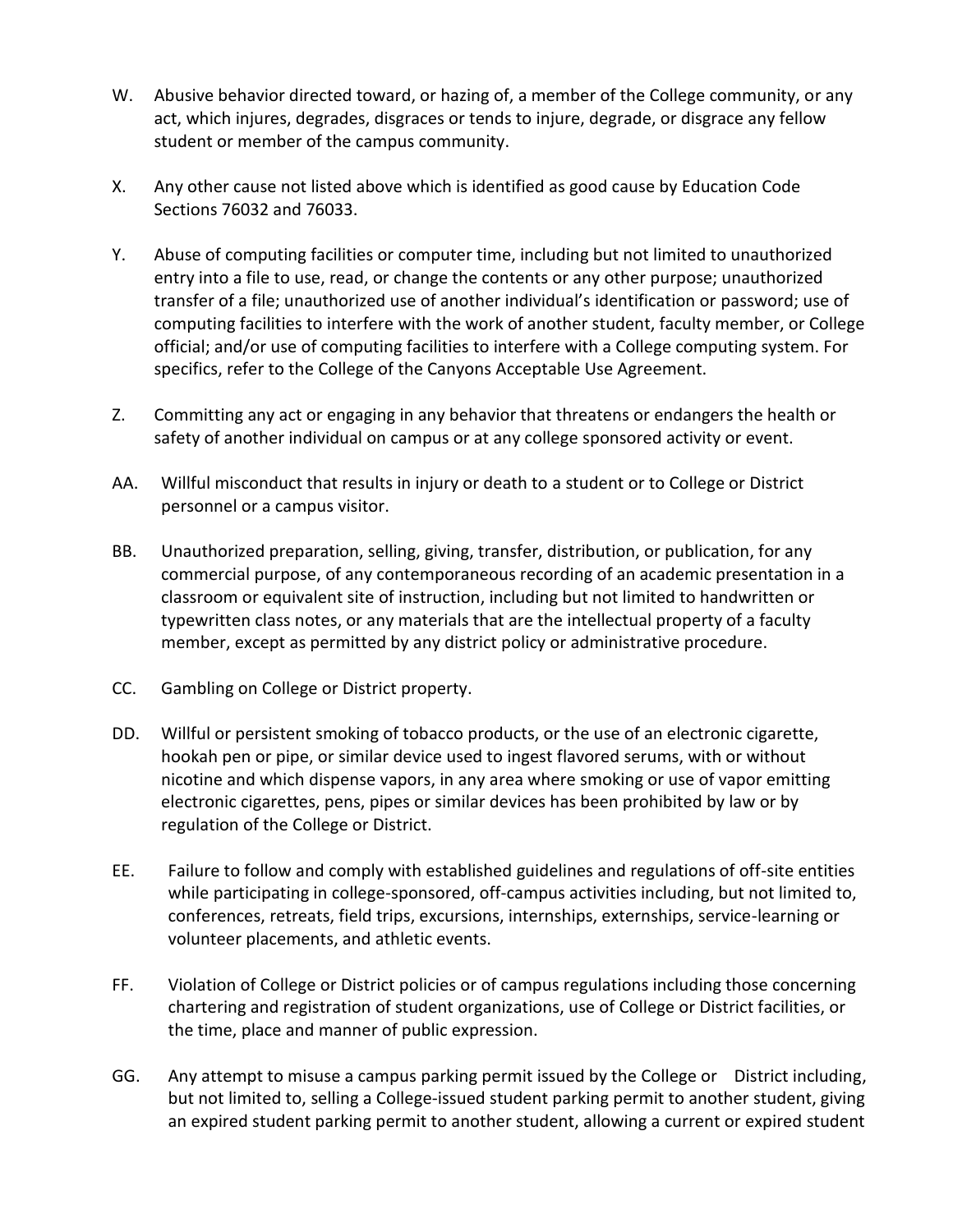- W. Abusive behavior directed toward, or hazing of, a member of the College community, or any act, which injures, degrades, disgraces or tends to injure, degrade, or disgrace any fellow student or member of the campus community.
- X. Any other cause not listed above which is identified as good cause by Education Code Sections 76032 and 76033.
- Y. Abuse of computing facilities or computer time, including but not limited to unauthorized entry into a file to use, read, or change the contents or any other purpose; unauthorized transfer of a file; unauthorized use of another individual's identification or password; use of computing facilities to interfere with the work of another student, faculty member, or College official; and/or use of computing facilities to interfere with a College computing system. For specifics, refer to the College of the Canyons Acceptable Use Agreement.
- Z. Committing any act or engaging in any behavior that threatens or endangers the health or safety of another individual on campus or at any college sponsored activity or event.
- AA. Willful misconduct that results in injury or death to a student or to College or District personnel or a campus visitor.
- BB. Unauthorized preparation, selling, giving, transfer, distribution, or publication, for any commercial purpose, of any contemporaneous recording of an academic presentation in a classroom or equivalent site of instruction, including but not limited to handwritten or typewritten class notes, or any materials that are the intellectual property of a faculty member, except as permitted by any district policy or administrative procedure.
- CC. Gambling on College or District property.
- DD. Willful or persistent smoking of tobacco products, or the use of an electronic cigarette, hookah pen or pipe, or similar device used to ingest flavored serums, with or without nicotine and which dispense vapors, in any area where smoking or use of vapor emitting electronic cigarettes, pens, pipes or similar devices has been prohibited by law or by regulation of the College or District.
- EE. Failure to follow and comply with established guidelines and regulations of off-site entities while participating in college-sponsored, off-campus activities including, but not limited to, conferences, retreats, field trips, excursions, internships, externships, service-learning or volunteer placements, and athletic events.
- FF. Violation of College or District policies or of campus regulations including those concerning chartering and registration of student organizations, use of College or District facilities, or the time, place and manner of public expression.
- GG. Any attempt to misuse a campus parking permit issued by the College or District including, but not limited to, selling a College-issued student parking permit to another student, giving an expired student parking permit to another student, allowing a current or expired student